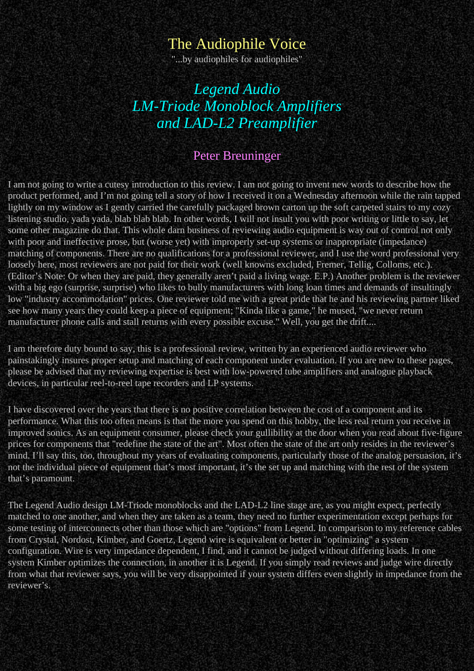## The Audiophile Voice

"...by audiophiles for audiophiles"

# *Legend Audio LM-Triode Monoblock Amplifiers and LAD-L2 Preamplifier*

#### Peter Breuninger

I am not going to write a cutesy introduction to this review. I am not going to invent new words to describe how the product performed, and I'm not going tell a story of how I received it on a Wednesday afternoon while the rain tapped lightly on my window as I gently carried the carefully packaged brown carton up the soft carpeted stairs to my cozy listening studio, yada yada, blab blab blab. In other words, I will not insult you with poor writing or little to say, let some other magazine do that. This whole darn business of reviewing audio equipment is way out of control not only with poor and ineffective prose, but (worse yet) with improperly set-up systems or inappropriate (impedance) matching of components. There are no qualifications for a professional reviewer, and I use the word professional very loosely here, most reviewers are not paid for their work (well knowns excluded, Fremer, Tellig, Colloms, etc.). (Editor's Note: Or when they are paid, they generally aren't paid a living wage. E.P.) Another problem is the reviewer with a big ego (surprise, surprise) who likes to bully manufacturers with long loan times and demands of insultingly low "industry accommodation" prices. One reviewer told me with a great pride that he and his reviewing partner liked see how many years they could keep a piece of equipment; "Kinda like a game," he mused, "we never return manufacturer phone calls and stall returns with every possible excuse." Well, you get the drift....

I am therefore duty bound to say, this is a professional review, written by an experienced audio reviewer who painstakingly insures proper setup and matching of each component under evaluation. If you are new to these pages, please be advised that my reviewing expertise is best with low-powered tube amplifiers and analogue playback devices, in particular reel-to-reel tape recorders and LP systems.

I have discovered over the years that there is no positive correlation between the cost of a component and its performance. What this too often means is that the more you spend on this hobby, the less real return you receive in improved sonics. As an equipment consumer, please check your gullibility at the door when you read about five-figure prices for components that "redefine the state of the art". Most often the state of the art only resides in the reviewer's mind. I'll say this, too, throughout my years of evaluating components, particularly those of the analog persuasion, it's not the individual piece of equipment that's most important, it's the set up and matching with the rest of the system that's paramount.

The Legend Audio design LM-Triode monoblocks and the LAD-L2 line stage are, as you might expect, perfectly matched to one another, and when they are taken as a team, they need no further experimentation except perhaps for some testing of interconnects other than those which are "options" from Legend. In comparison to my reference cables from Crystal, Nordost, Kimber, and Goertz, Legend wire is equivalent or better in "optimizing" a system configuration. Wire is very impedance dependent, I find, and it cannot be judged without differing loads. In one system Kimber optimizes the connection, in another it is Legend. If you simply read reviews and judge wire directly from what that reviewer says, you will be very disappointed if your system differs even slightly in impedance from the reviewer's.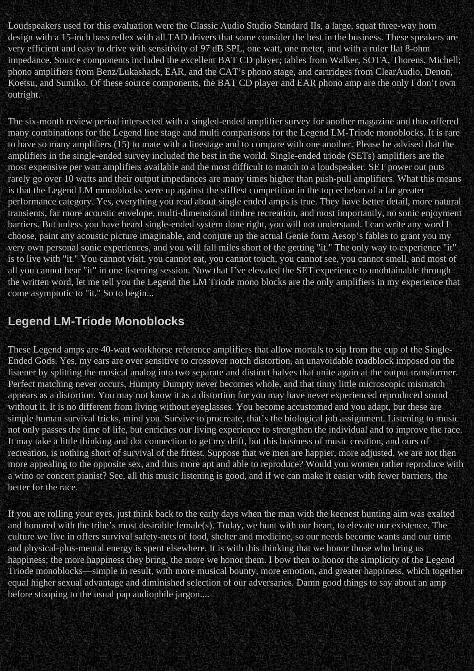Loudspeakers used for this evaluation were the Classic Audio Studio Standard IIs, a large, squat three-way horn design with a 15-inch bass reflex with all TAD drivers that some consider the best in the business. These speakers are very efficient and easy to drive with sensitivity of 97 dB SPL, one watt, one meter, and with a ruler flat 8-ohm impedance. Source components included the excellent BAT CD player; tables from Walker, SOTA, Thorens, Michell; phono amplifiers from Benz/Lukashack, EAR, and the CAT's phono stage, and cartridges from ClearAudio, Denon, Koetsu, and Sumiko. Of these source components, the BAT CD player and EAR phono amp are the only I don't own outright.

The six-month review period intersected with a singled-ended amplifier survey for another magazine and thus offered many combinations for the Legend line stage and multi comparisons for the Legend LM-Triode monoblocks. It is rare to have so many amplifiers (15) to mate with a linestage and to compare with one another. Please be advised that the amplifiers in the single-ended survey included the best in the world. Single-ended triode (SETs) amplifiers are the most expensive per watt amplifiers available and the most difficult to match to a loudspeaker. SET power out puts rarely go over 10 watts and their output impedances are many times higher than push-pull amplifiers. What this means is that the Legend LM monoblocks were up against the stiffest competition in the top echelon of a far greater performance category. Yes, everything you read about single ended amps is true. They have better detail, more natural transients, far more acoustic envelope, multi-dimensional timbre recreation, and most importantly, no sonic enjoyment barriers. But unless you have heard single-ended system done right, you will not understand. I can write any word I choose, paint any acoustic picture imaginable, and conjure up the actual Genie form Aesop's fables to grant you my very own personal sonic experiences, and you will fall miles short of the getting "it." The only way to experience "it" is to live with "it." You cannot visit, you cannot eat, you cannot touch, you cannot see, you cannot smell, and most of all you cannot hear "it" in one listening session. Now that I've elevated the SET experience to unobtainable through the written word, let me tell you the Legend the LM Triode mono blocks are the only amplifiers in my experience that come asymptotic to "it." So to begin...

### **Legend LM-Triode Monoblocks**

These Legend amps are 40-watt workhorse reference amplifiers that allow mortals to sip from the cup of the Single-Ended Gods. Yes, my ears are over sensitive to crossover notch distortion, an unavoidable roadblock imposed on the listener by splitting the musical analog into two separate and distinct halves that unite again at the output transformer. Perfect matching never occurs, Humpty Dumpty never becomes whole, and that tinny little microscopic mismatch appears as a distortion. You may not know it as a distortion for you may have never experienced reproduced sound without it. It is no different from living without eyeglasses. You become accustomed and you adapt, but these are simple human survival tricks, mind you. Survive to procreate, that's the biological job assignment. Listening to music not only passes the time of life, but enriches our living experience to strengthen the individual and to improve the race. It may take a little thinking and dot connection to get my drift, but this business of music creation, and ours of recreation, is nothing short of survival of the fittest. Suppose that we men are happier, more adjusted, we are not then more appealing to the opposite sex, and thus more apt and able to reproduce? Would you women rather reproduce with a wino or concert pianist? See, all this music listening is good, and if we can make it easier with fewer barriers, the better for the race.

If you are rolling your eyes, just think back to the early days when the man with the keenest hunting aim was exalted and honored with the tribe's most desirable female(s). Today, we hunt with our heart, to elevate our existence. The culture we live in offers survival safety-nets of food, shelter and medicine, so our needs become wants and our time and physical-plus-mental energy is spent elsewhere. It is with this thinking that we honor those who bring us happiness; the more happiness they bring, the more we honor them. I bow then to honor the simplicity of the Legend Triode monoblocks—simple in result, with more musical bounty, more emotion, and greater happiness, which together equal higher sexual advantage and diminished selection of our adversaries. Damn good things to say about an amp before stooping to the usual pap audiophile jargon....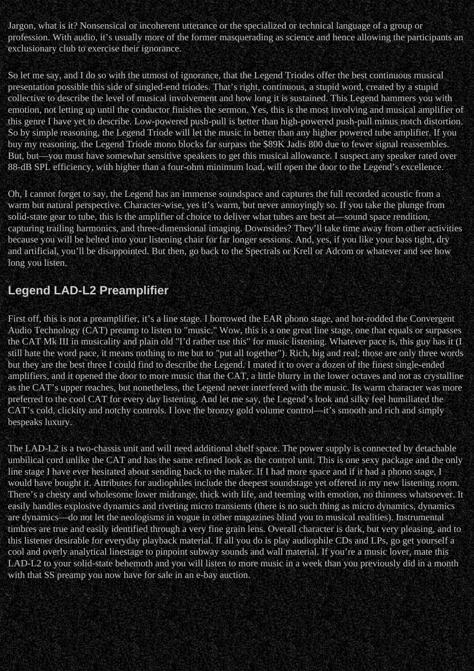Jargon, what is it? Nonsensical or incoherent utterance or the specialized or technical language of a group or profession. With audio, it's usually more of the former masquerading as science and hence allowing the participants an exclusionary club to exercise their ignorance.

So let me say, and I do so with the utmost of ignorance, that the Legend Triodes offer the best continuous musical presentation possible this side of singled-end triodes. That's right, continuous, a stupid word, created by a stupid collective to describe the level of musical involvement and how long it is sustained. This Legend hammers you with emotion, not letting up until the conductor finishes the sermon. Yes, this is the most involving and musical amplifier of this genre I have yet to describe. Low-powered push-pull is better than high-powered push-pull minus notch distortion. So by simple reasoning, the Legend Triode will let the music in better than any higher powered tube amplifier. If you buy my reasoning, the Legend Triode mono blocks far surpass the \$89K Jadis 800 due to fewer signal reassembles. But, but—you must have somewhat sensitive speakers to get this musical allowance. I suspect any speaker rated over 88-dB SPL efficiency, with higher than a four-ohm minimum load, will open the door to the Legend's excellence.

Oh, I cannot forget to say, the Legend has an immense soundspace and captures the full recorded acoustic from a warm but natural perspective. Character-wise, yes it's warm, but never annoyingly so. If you take the plunge from solid-state gear to tube, this is the amplifier of choice to deliver what tubes are best at—sound space rendition, capturing trailing harmonics, and three-dimensional imaging. Downsides? They'll take time away from other activities because you will be belted into your listening chair for far longer sessions. And, yes, if you like your bass tight, dry and artificial, you'll be disappointed. But then, go back to the Spectrals or Krell or Adcom or whatever and see how long you listen.

### **Legend LAD-L2 Preamplifier**

First off, this is not a preamplifier, it's a line stage. I borrowed the EAR phono stage, and hot-rodded the Convergent Audio Technology (CAT) preamp to listen to "music." Wow, this is a one great line stage, one that equals or surpasses the CAT Mk III in musicality and plain old "I'd rather use this" for music listening. Whatever pace is, this guy has it (I still hate the word pace, it means nothing to me but to "put all together"). Rich, big and real; those are only three words but they are the best three I could find to describe the Legend. I mated it to over a dozen of the finest single-ended amplifiers, and it opened the door to more music that the CAT, a little blurry in the lower octaves and not as crystalline as the CAT's upper reaches, but nonetheless, the Legend never interfered with the music. Its warm character was more preferred to the cool CAT for every day listening. And let me say, the Legend's look and silky feel humiliated the CAT's cold, clickity and notchy controls. I love the bronzy gold volume control—it's smooth and rich and simply bespeaks luxury.

The LAD-L2 is a two-chassis unit and will need additional shelf space. The power supply is connected by detachable umbilical cord unlike the CAT and has the same refined look as the control unit. This is one sexy package and the only line stage I have ever hesitated about sending back to the maker. If I had more space and if it had a phono stage, I would have bought it. Attributes for audiophiles include the deepest soundstage yet offered in my new listening room. There's a chesty and wholesome lower midrange, thick with life, and teeming with emotion, no thinness whatsoever. It easily handles explosive dynamics and riveting micro transients (there is no such thing as micro dynamics, dynamics are dynamics—do not let the neologisms in vogue in other magazines blind you to musical realities). Instrumental timbres are true and easily identified through a very fine grain lens. Overall character is dark, but very pleasing, and to this listener desirable for everyday playback material. If all you do is play audiophile CDs and LPs, go get yourself a cool and overly analytical linestage to pinpoint subway sounds and wall material. If you're a music lover, mate this LAD-L2 to your solid-state behemoth and you will listen to more music in a week than you previously did in a month with that SS preamp you now have for sale in an e-bay auction.